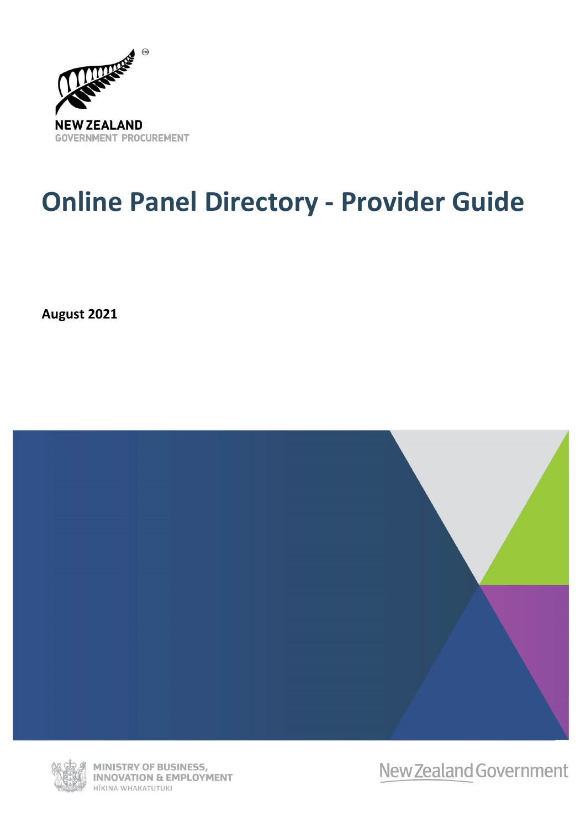

# **Online Panel Directory - Provider Guide**

**August 2021**





MINISTRY OF BUSINESS, **INNOVATION & EMPLOYMENT** HĪKINA WHAKATUTUKI

New Zealand Government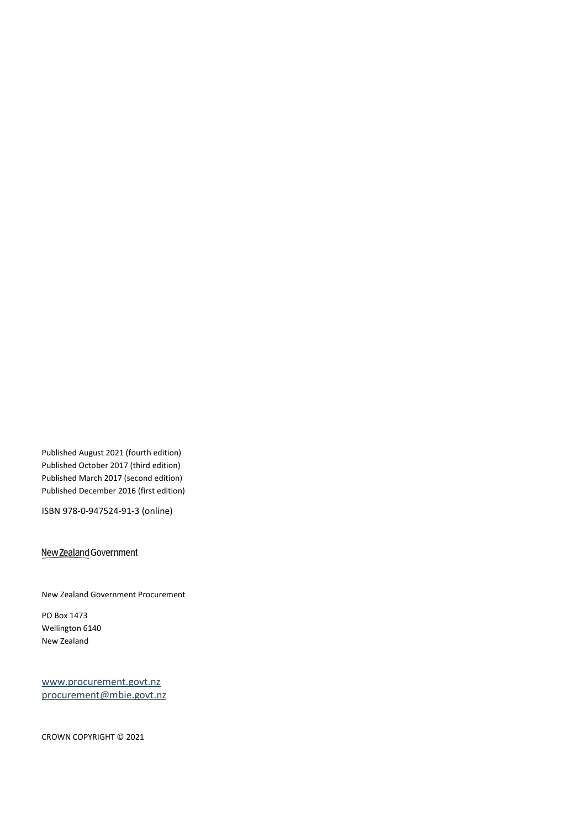Published August 2021 (fourth edition) Published October 2017 (third edition) Published March 2017 (second edition) Published December 2016 (first edition)

ISBN 978-0-947524-91-3 (online)

#### New Zealand Government

New Zealand Government Procurement

PO Box 1473 Wellington 6140 New Zealand

[www.procurement.govt.nz](http://www.procurement.govt.nz/) [procurement@mbie.govt.nz](mailto:procurement@mbie.govt.nz)

CROWN COPYRIGHT © 2021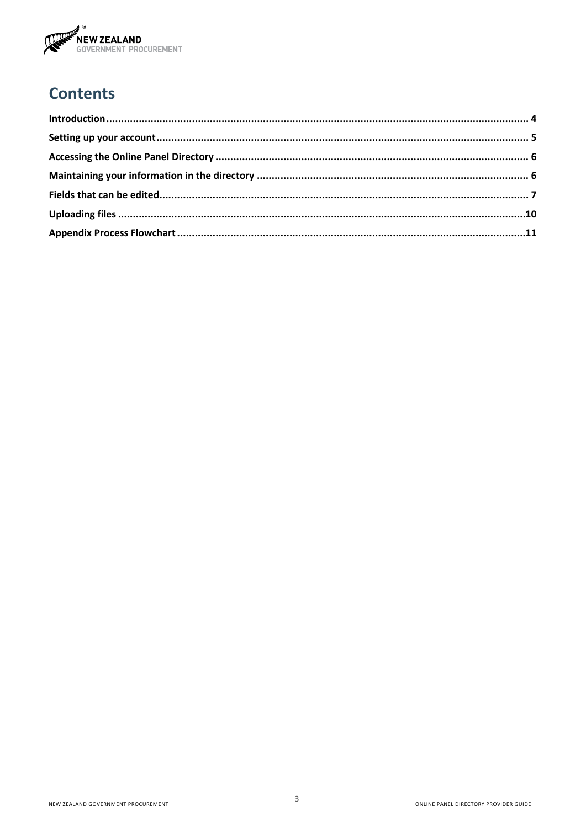

# **Contents**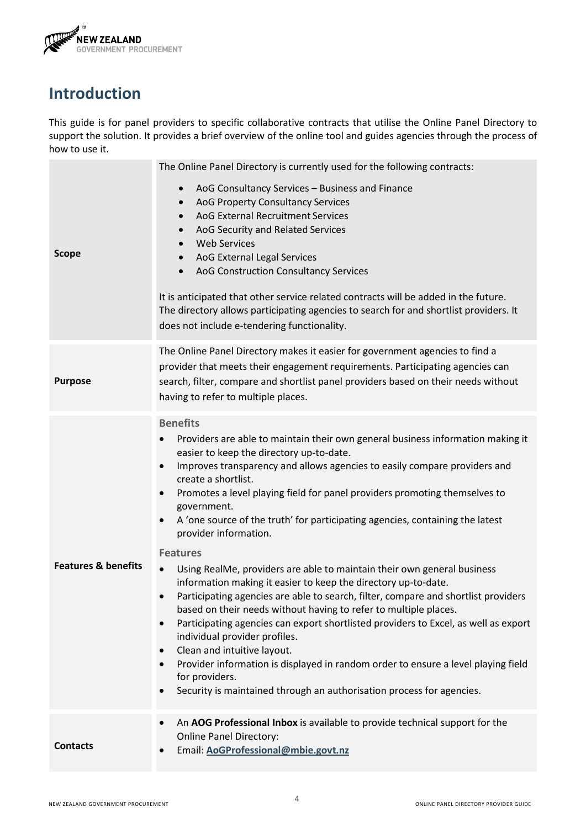

#### <span id="page-3-0"></span>**Introduction**

This guide is for panel providers to specific collaborative contracts that utilise the Online Panel Directory to support the solution. It provides a brief overview of the online tool and guides agencies through the process of how to use it.

| <b>Scope</b>                   | The Online Panel Directory is currently used for the following contracts:<br>AoG Consultancy Services - Business and Finance<br>$\bullet$<br>AoG Property Consultancy Services<br>$\bullet$<br>AoG External Recruitment Services<br>$\bullet$<br>AoG Security and Related Services<br>$\bullet$<br><b>Web Services</b><br>AoG External Legal Services<br>$\bullet$<br>AoG Construction Consultancy Services<br>$\bullet$<br>It is anticipated that other service related contracts will be added in the future.<br>The directory allows participating agencies to search for and shortlist providers. It<br>does not include e-tendering functionality.                                                                                                                                                                                                                                                                                                                                                                                                                                                                                                                                                  |  |  |
|--------------------------------|----------------------------------------------------------------------------------------------------------------------------------------------------------------------------------------------------------------------------------------------------------------------------------------------------------------------------------------------------------------------------------------------------------------------------------------------------------------------------------------------------------------------------------------------------------------------------------------------------------------------------------------------------------------------------------------------------------------------------------------------------------------------------------------------------------------------------------------------------------------------------------------------------------------------------------------------------------------------------------------------------------------------------------------------------------------------------------------------------------------------------------------------------------------------------------------------------------|--|--|
| <b>Purpose</b>                 | The Online Panel Directory makes it easier for government agencies to find a<br>provider that meets their engagement requirements. Participating agencies can<br>search, filter, compare and shortlist panel providers based on their needs without<br>having to refer to multiple places.                                                                                                                                                                                                                                                                                                                                                                                                                                                                                                                                                                                                                                                                                                                                                                                                                                                                                                               |  |  |
| <b>Features &amp; benefits</b> | <b>Benefits</b><br>Providers are able to maintain their own general business information making it<br>easier to keep the directory up-to-date.<br>Improves transparency and allows agencies to easily compare providers and<br>$\bullet$<br>create a shortlist.<br>Promotes a level playing field for panel providers promoting themselves to<br>$\bullet$<br>government.<br>A 'one source of the truth' for participating agencies, containing the latest<br>$\bullet$<br>provider information.<br><b>Features</b><br>Using RealMe, providers are able to maintain their own general business<br>$\bullet$<br>information making it easier to keep the directory up-to-date.<br>Participating agencies are able to search, filter, compare and shortlist providers<br>based on their needs without having to refer to multiple places.<br>Participating agencies can export shortlisted providers to Excel, as well as export<br>$\bullet$<br>individual provider profiles.<br>Clean and intuitive layout.<br>$\bullet$<br>Provider information is displayed in random order to ensure a level playing field<br>for providers.<br>Security is maintained through an authorisation process for agencies. |  |  |
| <b>Contacts</b>                | An AOG Professional Inbox is available to provide technical support for the<br>$\bullet$<br><b>Online Panel Directory:</b><br>Email: AoGProfessional@mbie.govt.nz                                                                                                                                                                                                                                                                                                                                                                                                                                                                                                                                                                                                                                                                                                                                                                                                                                                                                                                                                                                                                                        |  |  |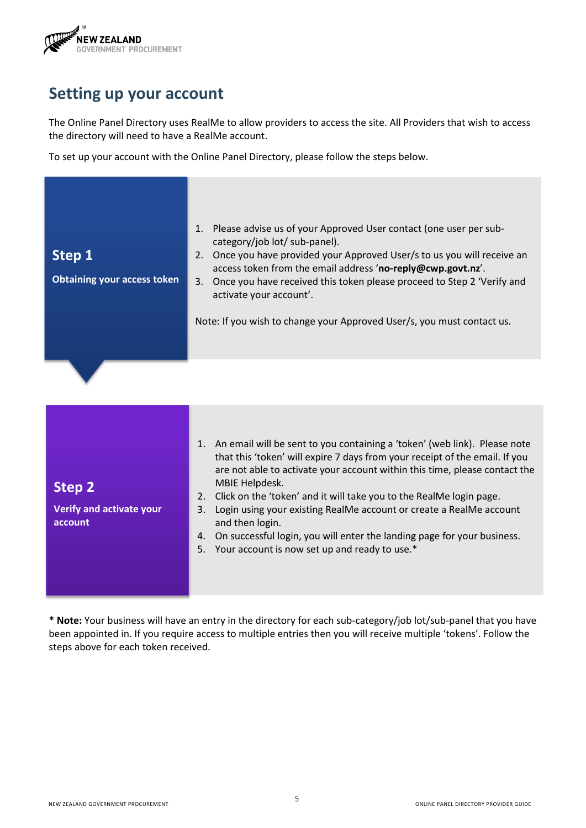

#### <span id="page-4-0"></span>**Setting up your account**

The Online Panel Directory uses RealMe to allow providers to access the site. All Providers that wish to access the directory will need to have a RealMe account.

To set up your account with the Online Panel Directory, please follow the steps below.

| Step 1<br><b>Obtaining your access token</b>                | 1. Please advise us of your Approved User contact (one user per sub-<br>category/job lot/ sub-panel).<br>2. Once you have provided your Approved User/s to us you will receive an<br>access token from the email address 'no-reply@cwp.govt.nz'.<br>Once you have received this token please proceed to Step 2 'Verify and<br>3.<br>activate your account'.<br>Note: If you wish to change your Approved User/s, you must contact us.                                                                                                                                            |
|-------------------------------------------------------------|----------------------------------------------------------------------------------------------------------------------------------------------------------------------------------------------------------------------------------------------------------------------------------------------------------------------------------------------------------------------------------------------------------------------------------------------------------------------------------------------------------------------------------------------------------------------------------|
| <b>Step 2</b><br><b>Verify and activate your</b><br>account | 1. An email will be sent to you containing a 'token' (web link). Please note<br>that this 'token' will expire 7 days from your receipt of the email. If you<br>are not able to activate your account within this time, please contact the<br>MBIE Helpdesk.<br>Click on the 'token' and it will take you to the RealMe login page.<br>2.<br>Login using your existing RealMe account or create a RealMe account<br>3.<br>and then login.<br>On successful login, you will enter the landing page for your business.<br>4.<br>Your account is now set up and ready to use.*<br>5. |

**\* Note:** Your business will have an entry in the directory for each sub-category/job lot/sub-panel that you have been appointed in. If you require access to multiple entries then you will receive multiple 'tokens'. Follow the steps above for each token received.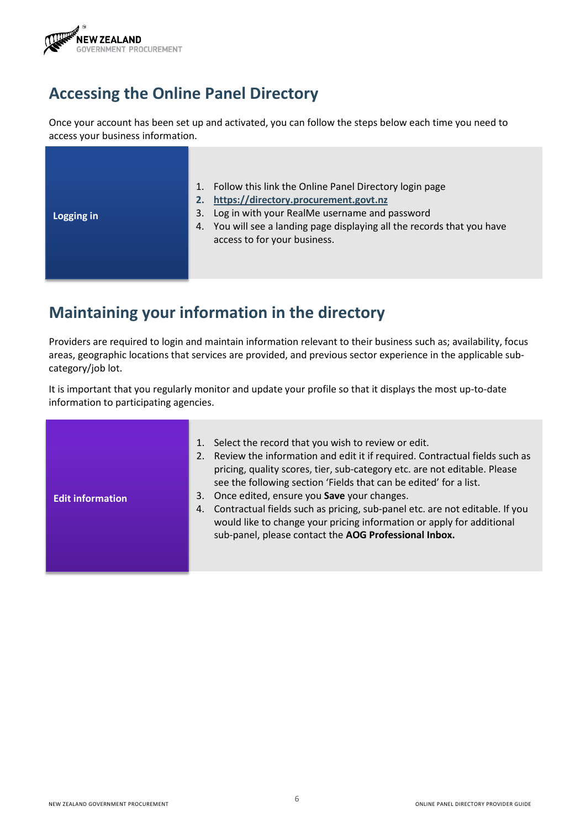

## <span id="page-5-0"></span>**Accessing the Online Panel Directory**

Once your account has been set up and activated, you can follow the steps below each time you need to access your business information.

| 3.<br>Logging in | Follow this link the Online Panel Directory login page<br>https://directory.procurement.govt.nz<br>Log in with your RealMe username and password<br>4. You will see a landing page displaying all the records that you have<br>access to for your business. |
|------------------|-------------------------------------------------------------------------------------------------------------------------------------------------------------------------------------------------------------------------------------------------------------|
|------------------|-------------------------------------------------------------------------------------------------------------------------------------------------------------------------------------------------------------------------------------------------------------|

# <span id="page-5-1"></span>**Maintaining your information in the directory**

Providers are required to login and maintain information relevant to their business such as; availability, focus areas, geographic locations that services are provided, and previous sector experience in the applicable subcategory/job lot.

It is important that you regularly monitor and update your profile so that it displays the most up-to-date information to participating agencies.

| <b>Edit information</b> | 1. Select the record that you wish to review or edit.<br>2. Review the information and edit it if required. Contractual fields such as<br>pricing, quality scores, tier, sub-category etc. are not editable. Please<br>see the following section 'Fields that can be edited' for a list.<br>3. Once edited, ensure you Save your changes.<br>4. Contractual fields such as pricing, sub-panel etc. are not editable. If you<br>would like to change your pricing information or apply for additional<br>sub-panel, please contact the AOG Professional Inbox. |
|-------------------------|---------------------------------------------------------------------------------------------------------------------------------------------------------------------------------------------------------------------------------------------------------------------------------------------------------------------------------------------------------------------------------------------------------------------------------------------------------------------------------------------------------------------------------------------------------------|
|-------------------------|---------------------------------------------------------------------------------------------------------------------------------------------------------------------------------------------------------------------------------------------------------------------------------------------------------------------------------------------------------------------------------------------------------------------------------------------------------------------------------------------------------------------------------------------------------------|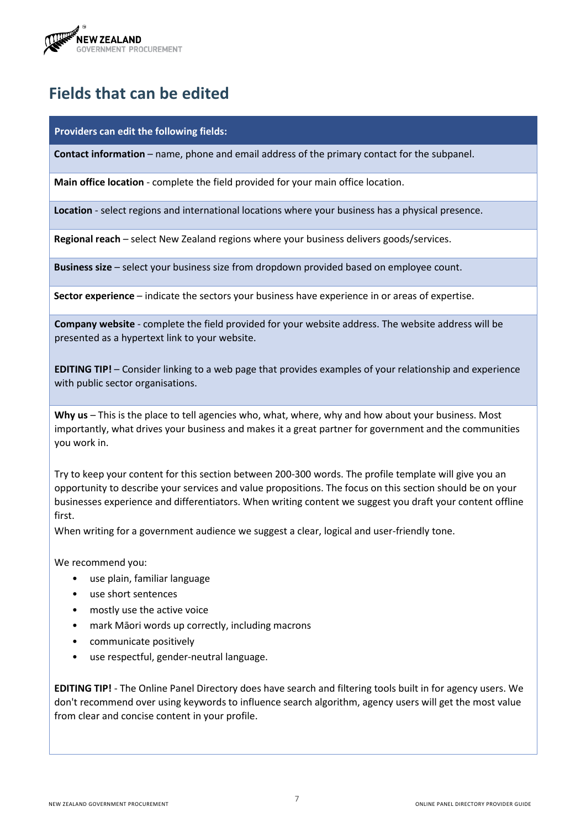

## <span id="page-6-0"></span>**Fields that can be edited**

**Providers can edit the following fields:**

**Contact information** – name, phone and email address of the primary contact for the subpanel.

**Main office location** - complete the field provided for your main office location.

**Location** - select regions and international locations where your business has a physical presence.

**Regional reach** – select New Zealand regions where your business delivers goods/services.

**Business size** – select your business size from dropdown provided based on employee count.

**Sector experience** – indicate the sectors your business have experience in or areas of expertise.

**Company website** - complete the field provided for your website address. The website address will be presented as a hypertext link to your website.

**EDITING TIP!** – Consider linking to a web page that provides examples of your relationship and experience with public sector organisations.

**Why us** – This is the place to tell agencies who, what, where, why and how about your business. Most importantly, what drives your business and makes it a great partner for government and the communities you work in.

Try to keep your content for this section between 200-300 words. The profile template will give you an opportunity to describe your services and value propositions. The focus on this section should be on your businesses experience and differentiators. When writing content we suggest you draft your content offline first.

When writing for a government audience we suggest a clear, logical and user-friendly tone.

We recommend you:

- use plain, familiar language
- use short sentences
- mostly use the active voice
- mark Māori words up correctly, including macrons
- communicate positively
- use respectful, gender-neutral language.

**EDITING TIP!** - The Online Panel Directory does have search and filtering tools built in for agency users. We don't recommend over using keywords to influence search algorithm, agency users will get the most value from clear and concise content in your profile.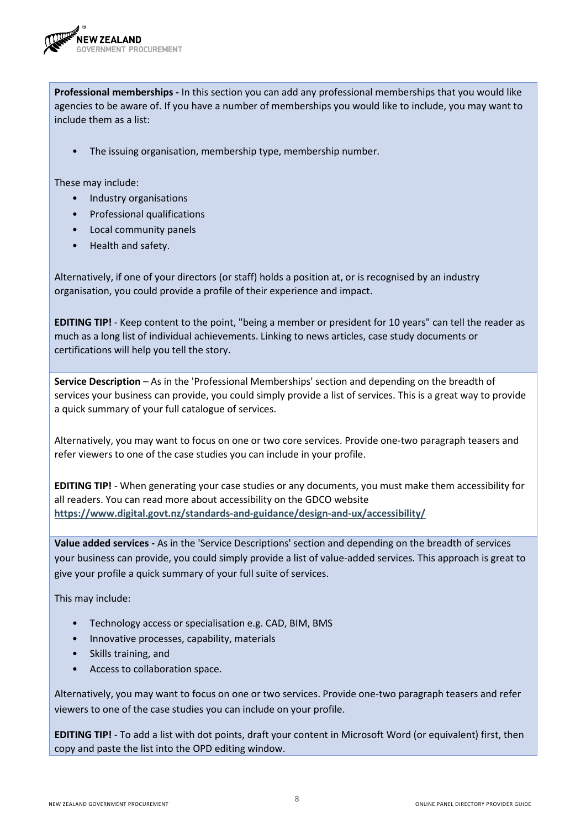

**Professional memberships -** In this section you can add any professional memberships that you would like agencies to be aware of. If you have a number of memberships you would like to include, you may want to include them as a list:

The issuing organisation, membership type, membership number.

These may include:

- Industry organisations
- Professional qualifications
- Local community panels
- Health and safety.

Alternatively, if one of your directors (or staff) holds a position at, or is recognised by an industry organisation, you could provide a profile of their experience and impact.

**EDITING TIP!** - Keep content to the point, "being a member or president for 10 years" can tell the reader as much as a long list of individual achievements. Linking to news articles, case study documents or certifications will help you tell the story.

**Service Description** – As in the 'Professional Memberships' section and depending on the breadth of services your business can provide, you could simply provide a list of services. This is a great way to provide a quick summary of your full catalogue of services.

Alternatively, you may want to focus on one or two core services. Provide one-two paragraph teasers and refer viewers to one of the case studies you can include in your profile.

**EDITING TIP!** - When generating your case studies or any documents, you must make them accessibility for all readers. You can read more about accessibility on the GDCO website **<https://www.digital.govt.nz/standards-and-guidance/design-and-ux/accessibility/>**

**Value added services -** As in the 'Service Descriptions' section and depending on the breadth of services your business can provide, you could simply provide a list of value-added services. This approach is great to give your profile a quick summary of your full suite of services.

This may include:

- Technology access or specialisation e.g. CAD, BIM, BMS
- Innovative processes, capability, materials
- Skills training, and
- Access to collaboration space.

Alternatively, you may want to focus on one or two services. Provide one-two paragraph teasers and refer viewers to one of the case studies you can include on your profile.

**EDITING TIP!** - To add a list with dot points, draft your content in Microsoft Word (or equivalent) first, then copy and paste the list into the OPD editing window.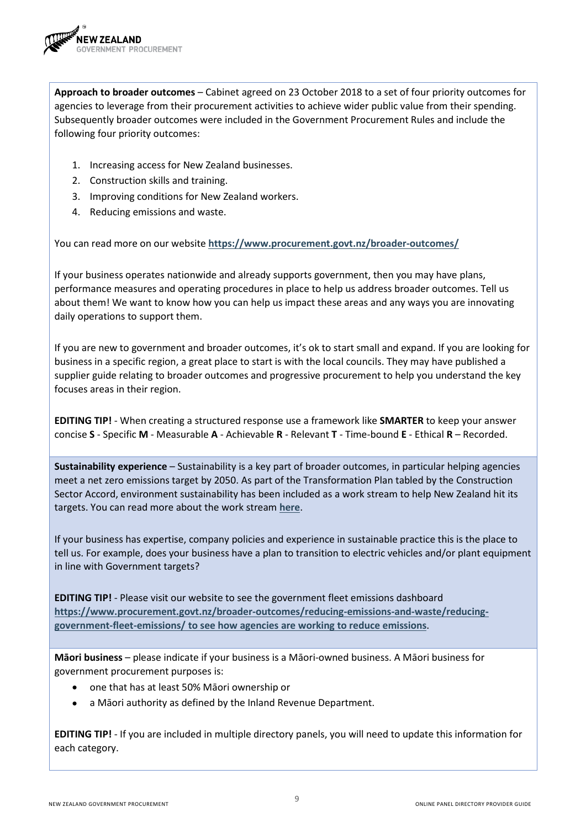

**Approach to broader outcomes** – Cabinet agreed on 23 October 2018 to a set of four priority outcomes for agencies to leverage from their procurement activities to achieve wider public value from their spending. Subsequently broader outcomes were included in the Government Procurement Rules and include the following four priority outcomes:

- 1. Increasing access for New Zealand businesses.
- 2. Construction skills and training.
- 3. Improving conditions for New Zealand workers.
- 4. Reducing emissions and waste.

You can read more on our website **<https://www.procurement.govt.nz/broader-outcomes/>**

If your business operates nationwide and already supports government, then you may have plans, performance measures and operating procedures in place to help us address broader outcomes. Tell us about them! We want to know how you can help us impact these areas and any ways you are innovating daily operations to support them.

If you are new to government and broader outcomes, it's ok to start small and expand. If you are looking for business in a specific region, a great place to start is with the local councils. They may have published a supplier guide relating to broader outcomes and progressive procurement to help you understand the key focuses areas in their region.

**EDITING TIP!** - When creating a structured response use a framework like **SMARTER** to keep your answer concise **S** - Specific **M** - Measurable **A** - Achievable **R** - Relevant **T** - Time-bound **E** - Ethical **R** – Recorded.

**Sustainability experience** – Sustainability is a key part of broader outcomes, in particular helping agencies meet a net zero emissions target by 2050. As part of the Transformation Plan tabled by the Construction Sector Accord, environment sustainability has been included as a work stream to help New Zealand hit its targets. You can read more about the work stream **[here](https://www.constructionaccord.nz/transformation-plan/environment/)**.

If your business has expertise, company policies and experience in sustainable practice this is the place to tell us. For example, does your business have a plan to transition to electric vehicles and/or plant equipment in line with Government targets?

**EDITING TIP!** - Please visit our website to see the government fleet emissions dashboard **[https://www.procurement.govt.nz/broader-outcomes/reducing-emissions-and-waste/reducing](https://www.procurement.govt.nz/broader-outcomes/reducing-emissions-and-waste/reducing-government-fleet-emissions/%20to%20see%20how%20agencies%20are%20working%20to%20reduce%20emissions)[government-fleet-emissions/ to see how agencies are working to reduce emissions](https://www.procurement.govt.nz/broader-outcomes/reducing-emissions-and-waste/reducing-government-fleet-emissions/%20to%20see%20how%20agencies%20are%20working%20to%20reduce%20emissions)**.

**Māori business** – please indicate if your business is a Māori-owned business. A Māori business for government procurement purposes is:

- one that has at least 50% Māori ownership or
- a Māori authority as defined by the Inland Revenue Department.

**EDITING TIP!** - If you are included in multiple directory panels, you will need to update this information for each category.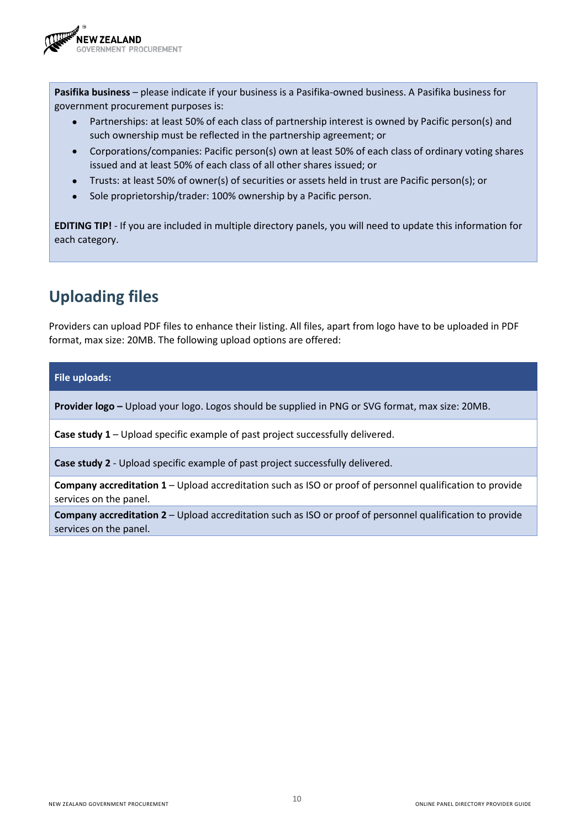

**Pasifika business** – please indicate if your business is a Pasifika-owned business. A Pasifika business for government procurement purposes is:

- Partnerships: at least 50% of each class of partnership interest is owned by Pacific person(s) and such ownership must be reflected in the partnership agreement; or
- Corporations/companies: Pacific person(s) own at least 50% of each class of ordinary voting shares issued and at least 50% of each class of all other shares issued; or
- Trusts: at least 50% of owner(s) of securities or assets held in trust are Pacific person(s); or
- Sole proprietorship/trader: 100% ownership by a Pacific person.

**EDITING TIP!** - If you are included in multiple directory panels, you will need to update this information for each category.

## <span id="page-9-0"></span>**Uploading files**

Providers can upload PDF files to enhance their listing. All files, apart from logo have to be uploaded in PDF format, max size: 20MB. The following upload options are offered:

**File uploads:**

**Provider logo –** Upload your logo. Logos should be supplied in PNG or SVG format, max size: 20MB.

**Case study 1** – Upload specific example of past project successfully delivered.

**Case study 2** - Upload specific example of past project successfully delivered.

**Company accreditation 1** – Upload accreditation such as ISO or proof of personnel qualification to provide services on the panel.

**Company accreditation 2** – Upload accreditation such as ISO or proof of personnel qualification to provide services on the panel.